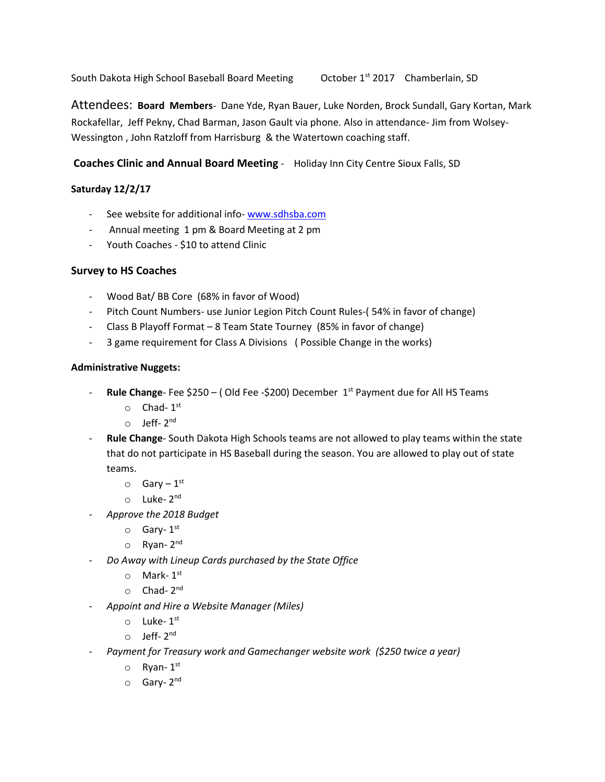South Dakota High School Baseball Board Meeting October 1st 2017 Chamberlain, SD

Attendees: **Board Members**- Dane Yde, Ryan Bauer, Luke Norden, Brock Sundall, Gary Kortan, Mark Rockafellar, Jeff Pekny, Chad Barman, Jason Gault via phone. Also in attendance- Jim from Wolsey-Wessington , John Ratzloff from Harrisburg & the Watertown coaching staff.

**Coaches Clinic and Annual Board Meeting** - Holiday Inn City Centre Sioux Falls, SD

# **Saturday 12/2/17**

- See website for additional info- [www.sdhsba.com](http://www.sdhsba.com/)
- Annual meeting 1 pm & Board Meeting at 2 pm
- Youth Coaches \$10 to attend Clinic

# **Survey to HS Coaches**

- Wood Bat/ BB Core (68% in favor of Wood)
- Pitch Count Numbers- use Junior Legion Pitch Count Rules-(54% in favor of change)
- Class B Playoff Format 8 Team State Tourney (85% in favor of change)
- 3 game requirement for Class A Divisions ( Possible Change in the works)

### **Administrative Nuggets:**

- **Rule Change** Fee \$250 ( Old Fee -\$200) December 1st Payment due for All HS Teams
	- $\circ$  Chad-  $1^{\text{st}}$
	- o Jeff-2<sup>nd</sup>
- **Rule Change** South Dakota High Schools teams are not allowed to play teams within the state that do not participate in HS Baseball during the season. You are allowed to play out of state teams.
	- $\circ$  Gary  $1^{\text{st}}$
	- o Luke-2<sup>nd</sup>
- *Approve the 2018 Budget*
	- o **Gary-1**<sup>st</sup>
	- o Ryan-2<sup>nd</sup>
- *Do Away with Lineup Cards purchased by the State Office*
	- $\circ$  Mark-  $1^{\text{st}}$
	- o **Chad-2<sup>nd</sup>**
- *Appoint and Hire a Website Manager (Miles)*
	- $\circ$  Luke-1st
	- o Jeff- 2<sup>nd</sup>
- *Payment for Treasury work and Gamechanger website work (\$250 twice a year)*
	- $\circ$  Ryan-1st
	- o Gary-2<sup>nd</sup>